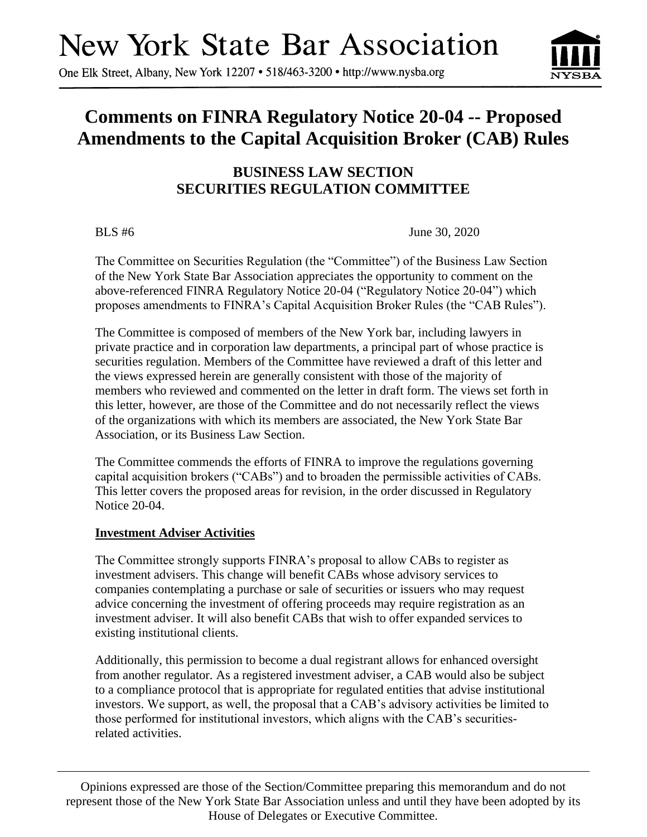# **New York State Bar Association**

One Elk Street, Albany, New York 12207 • 518/463-3200 • http://www.nysba.org

## **Comments on FINRA Regulatory Notice 20-04 -- Proposed Amendments to the Capital Acquisition Broker (CAB) Rules**

### **BUSINESS LAW SECTION SECURITIES REGULATION COMMITTEE**

BLS #6 June 30, 2020

The Committee on Securities Regulation (the "Committee") of the Business Law Section of the New York State Bar Association appreciates the opportunity to comment on the above-referenced FINRA Regulatory Notice 20-04 ("Regulatory Notice 20-04") which proposes amendments to FINRA's Capital Acquisition Broker Rules (the "CAB Rules").

The Committee is composed of members of the New York bar, including lawyers in private practice and in corporation law departments, a principal part of whose practice is securities regulation. Members of the Committee have reviewed a draft of this letter and the views expressed herein are generally consistent with those of the majority of members who reviewed and commented on the letter in draft form. The views set forth in this letter, however, are those of the Committee and do not necessarily reflect the views of the organizations with which its members are associated, the New York State Bar Association, or its Business Law Section.

The Committee commends the efforts of FINRA to improve the regulations governing capital acquisition brokers ("CABs") and to broaden the permissible activities of CABs. This letter covers the proposed areas for revision, in the order discussed in Regulatory Notice 20-04.

#### **Investment Adviser Activities**

The Committee strongly supports FINRA's proposal to allow CABs to register as investment advisers. This change will benefit CABs whose advisory services to companies contemplating a purchase or sale of securities or issuers who may request advice concerning the investment of offering proceeds may require registration as an investment adviser. It will also benefit CABs that wish to offer expanded services to existing institutional clients.

Additionally, this permission to become a dual registrant allows for enhanced oversight from another regulator. As a registered investment adviser, a CAB would also be subject to a compliance protocol that is appropriate for regulated entities that advise institutional investors. We support, as well, the proposal that a CAB's advisory activities be limited to those performed for institutional investors, which aligns with the CAB's securitiesrelated activities.

Opinions expressed are those of the Section/Committee preparing this memorandum and do not represent those of the New York State Bar Association unless and until they have been adopted by its House of Delegates or Executive Committee.

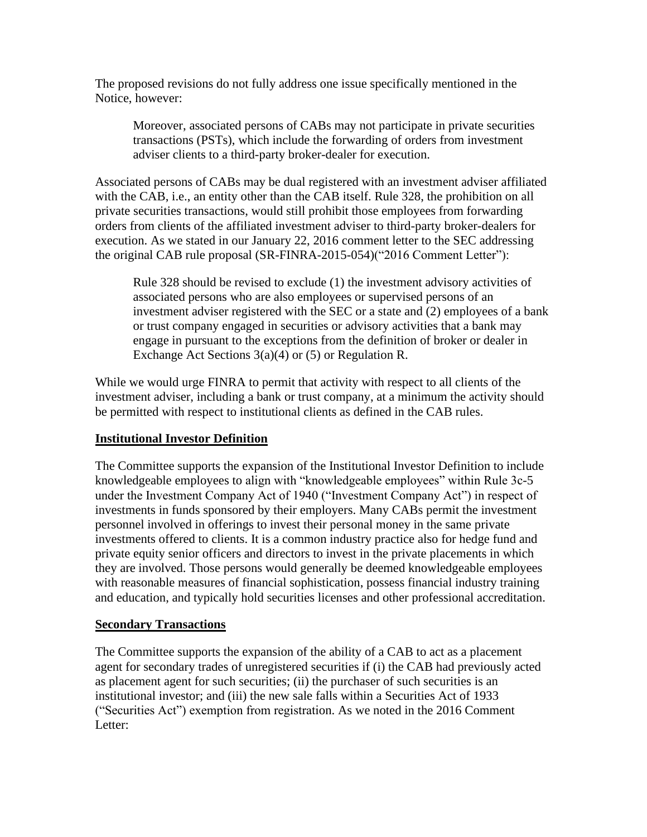The proposed revisions do not fully address one issue specifically mentioned in the Notice, however:

Moreover, associated persons of CABs may not participate in private securities transactions (PSTs), which include the forwarding of orders from investment adviser clients to a third-party broker-dealer for execution.

Associated persons of CABs may be dual registered with an investment adviser affiliated with the CAB, i.e., an entity other than the CAB itself. Rule 328, the prohibition on all private securities transactions, would still prohibit those employees from forwarding orders from clients of the affiliated investment adviser to third-party broker-dealers for execution. As we stated in our January 22, 2016 comment letter to the SEC addressing the original CAB rule proposal (SR-FINRA-2015-054)("2016 Comment Letter"):

Rule 328 should be revised to exclude (1) the investment advisory activities of associated persons who are also employees or supervised persons of an investment adviser registered with the SEC or a state and (2) employees of a bank or trust company engaged in securities or advisory activities that a bank may engage in pursuant to the exceptions from the definition of broker or dealer in Exchange Act Sections 3(a)(4) or (5) or Regulation R.

While we would urge FINRA to permit that activity with respect to all clients of the investment adviser, including a bank or trust company, at a minimum the activity should be permitted with respect to institutional clients as defined in the CAB rules.

#### **Institutional Investor Definition**

The Committee supports the expansion of the Institutional Investor Definition to include knowledgeable employees to align with "knowledgeable employees" within Rule 3c-5 under the Investment Company Act of 1940 ("Investment Company Act") in respect of investments in funds sponsored by their employers. Many CABs permit the investment personnel involved in offerings to invest their personal money in the same private investments offered to clients. It is a common industry practice also for hedge fund and private equity senior officers and directors to invest in the private placements in which they are involved. Those persons would generally be deemed knowledgeable employees with reasonable measures of financial sophistication, possess financial industry training and education, and typically hold securities licenses and other professional accreditation.

#### **Secondary Transactions**

The Committee supports the expansion of the ability of a CAB to act as a placement agent for secondary trades of unregistered securities if (i) the CAB had previously acted as placement agent for such securities; (ii) the purchaser of such securities is an institutional investor; and (iii) the new sale falls within a Securities Act of 1933 ("Securities Act") exemption from registration. As we noted in the 2016 Comment Letter: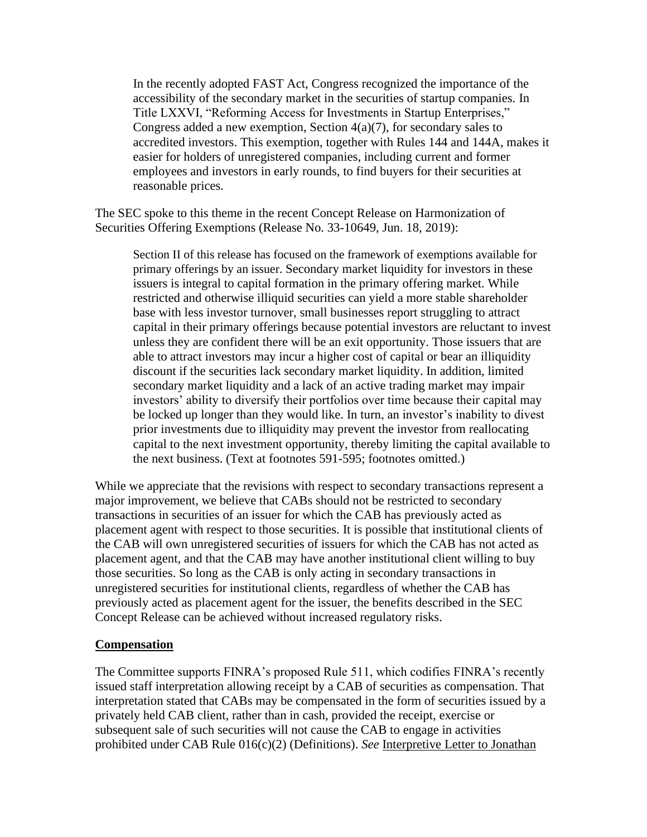In the recently adopted FAST Act, Congress recognized the importance of the accessibility of the secondary market in the securities of startup companies. In Title LXXVI, "Reforming Access for Investments in Startup Enterprises," Congress added a new exemption, Section  $4(a)(7)$ , for secondary sales to accredited investors. This exemption, together with Rules 144 and 144A, makes it easier for holders of unregistered companies, including current and former employees and investors in early rounds, to find buyers for their securities at reasonable prices.

The SEC spoke to this theme in the recent Concept Release on Harmonization of Securities Offering Exemptions (Release No. 33-10649, Jun. 18, 2019):

Section II of this release has focused on the framework of exemptions available for primary offerings by an issuer. Secondary market liquidity for investors in these issuers is integral to capital formation in the primary offering market. While restricted and otherwise illiquid securities can yield a more stable shareholder base with less investor turnover, small businesses report struggling to attract capital in their primary offerings because potential investors are reluctant to invest unless they are confident there will be an exit opportunity. Those issuers that are able to attract investors may incur a higher cost of capital or bear an illiquidity discount if the securities lack secondary market liquidity. In addition, limited secondary market liquidity and a lack of an active trading market may impair investors' ability to diversify their portfolios over time because their capital may be locked up longer than they would like. In turn, an investor's inability to divest prior investments due to illiquidity may prevent the investor from reallocating capital to the next investment opportunity, thereby limiting the capital available to the next business. (Text at footnotes 591-595; footnotes omitted.)

While we appreciate that the revisions with respect to secondary transactions represent a major improvement, we believe that CABs should not be restricted to secondary transactions in securities of an issuer for which the CAB has previously acted as placement agent with respect to those securities. It is possible that institutional clients of the CAB will own unregistered securities of issuers for which the CAB has not acted as placement agent, and that the CAB may have another institutional client willing to buy those securities. So long as the CAB is only acting in secondary transactions in unregistered securities for institutional clients, regardless of whether the CAB has previously acted as placement agent for the issuer, the benefits described in the SEC Concept Release can be achieved without increased regulatory risks.

#### **Compensation**

The Committee supports FINRA's proposed Rule 511, which codifies FINRA's recently issued staff interpretation allowing receipt by a CAB of securities as compensation. That interpretation stated that CABs may be compensated in the form of securities issued by a privately held CAB client, rather than in cash, provided the receipt, exercise or subsequent sale of such securities will not cause the CAB to engage in activities prohibited under CAB Rule 016(c)(2) (Definitions). *See* [Interpretive Letter to Jonathan](https://www.finra.org/rules-guidance/guidance/interpretive-letters/jonathan-d-wiley-forbes-securities-group)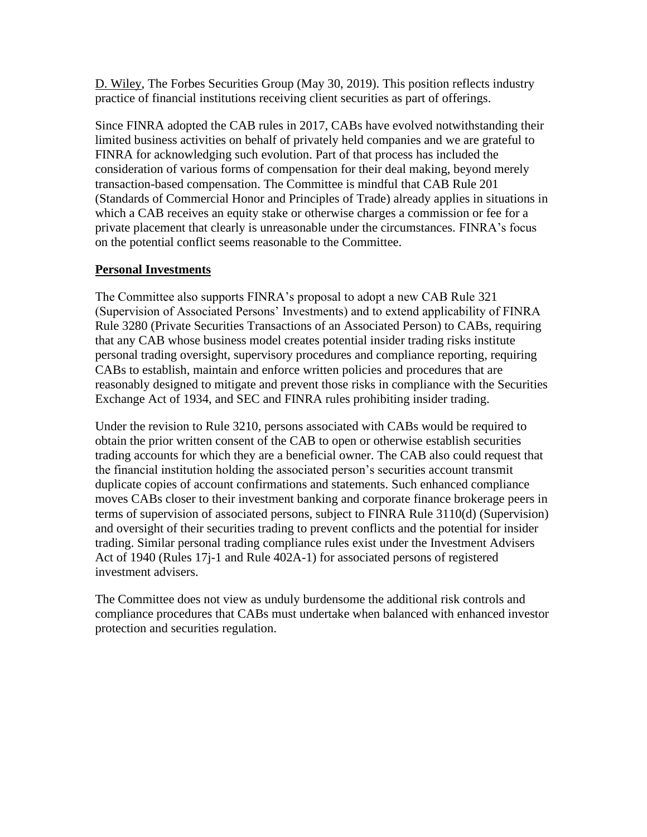[D. Wiley,](https://www.finra.org/rules-guidance/guidance/interpretive-letters/jonathan-d-wiley-forbes-securities-group) The Forbes Securities Group (May 30, 2019). This position reflects industry practice of financial institutions receiving client securities as part of offerings.

Since FINRA adopted the CAB rules in 2017, CABs have evolved notwithstanding their limited business activities on behalf of privately held companies and we are grateful to FINRA for acknowledging such evolution. Part of that process has included the consideration of various forms of compensation for their deal making, beyond merely transaction-based compensation. The Committee is mindful that CAB Rule 201 (Standards of Commercial Honor and Principles of Trade) already applies in situations in which a CAB receives an equity stake or otherwise charges a commission or fee for a private placement that clearly is unreasonable under the circumstances. FINRA's focus on the potential conflict seems reasonable to the Committee.

#### **Personal Investments**

The Committee also supports FINRA's proposal to adopt a new CAB Rule 321 (Supervision of Associated Persons' Investments) and to extend applicability of FINRA Rule 3280 (Private Securities Transactions of an Associated Person) to CABs, requiring that any CAB whose business model creates potential insider trading risks institute personal trading oversight, supervisory procedures and compliance reporting, requiring CABs to establish, maintain and enforce written policies and procedures that are reasonably designed to mitigate and prevent those risks in compliance with the Securities Exchange Act of 1934, and SEC and FINRA rules prohibiting insider trading.

Under the revision to Rule 3210, persons associated with CABs would be required to obtain the prior written consent of the CAB to open or otherwise establish securities trading accounts for which they are a beneficial owner. The CAB also could request that the financial institution holding the associated person's securities account transmit duplicate copies of account confirmations and statements. Such enhanced compliance moves CABs closer to their investment banking and corporate finance brokerage peers in terms of supervision of associated persons, subject to FINRA Rule 3110(d) (Supervision) and oversight of their securities trading to prevent conflicts and the potential for insider trading. Similar personal trading compliance rules exist under the Investment Advisers Act of 1940 (Rules 17j-1 and Rule 402A-1) for associated persons of registered investment advisers.

The Committee does not view as unduly burdensome the additional risk controls and compliance procedures that CABs must undertake when balanced with enhanced investor protection and securities regulation.